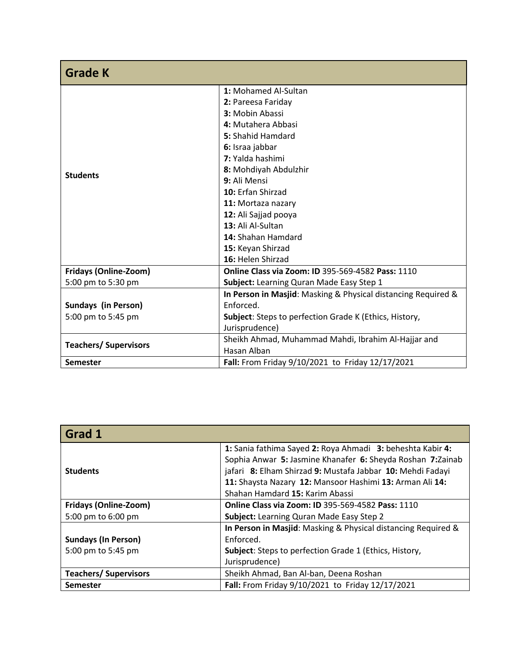| <b>Grade K</b>               |                                                               |
|------------------------------|---------------------------------------------------------------|
|                              | 1: Mohamed Al-Sultan                                          |
|                              | 2: Pareesa Fariday                                            |
|                              | 3: Mobin Abassi                                               |
| <b>Students</b>              | 4: Mutahera Abbasi                                            |
|                              | 5: Shahid Hamdard                                             |
|                              | 6: Israa jabbar                                               |
|                              | 7: Yalda hashimi                                              |
|                              | 8: Mohdiyah Abdulzhir                                         |
|                              | 9: Ali Mensi                                                  |
|                              | 10: Erfan Shirzad                                             |
|                              | 11: Mortaza nazary                                            |
|                              | 12: Ali Sajjad pooya                                          |
|                              | 13: Ali Al-Sultan                                             |
|                              | 14: Shahan Hamdard                                            |
|                              | 15: Keyan Shirzad                                             |
|                              | 16: Helen Shirzad                                             |
| Fridays (Online-Zoom)        | <b>Online Class via Zoom: ID 395-569-4582 Pass: 1110</b>      |
| 5:00 pm to 5:30 pm           | Subject: Learning Quran Made Easy Step 1                      |
|                              | In Person in Masjid: Masking & Physical distancing Required & |
| <b>Sundays (in Person)</b>   | Enforced.                                                     |
| 5:00 pm to 5:45 pm           | Subject: Steps to perfection Grade K (Ethics, History,        |
|                              | Jurisprudence)                                                |
| <b>Teachers/ Supervisors</b> | Sheikh Ahmad, Muhammad Mahdi, Ibrahim Al-Hajjar and           |
|                              | Hasan Alban                                                   |
| <b>Semester</b>              | Fall: From Friday 9/10/2021 to Friday 12/17/2021              |

| Grad 1                                           |                                                                                                                                                                                                                                                                                        |
|--------------------------------------------------|----------------------------------------------------------------------------------------------------------------------------------------------------------------------------------------------------------------------------------------------------------------------------------------|
| <b>Students</b>                                  | 1: Sania fathima Sayed 2: Roya Ahmadi 3: beheshta Kabir 4:<br>Sophia Anwar 5: Jasmine Khanafer 6: Sheyda Roshan 7: Zainab<br>jafari 8: Elham Shirzad 9: Mustafa Jabbar 10: Mehdi Fadayi<br>11: Shaysta Nazary 12: Mansoor Hashimi 13: Arman Ali 14:<br>Shahan Hamdard 15: Karim Abassi |
| <b>Fridays (Online-Zoom)</b>                     | <b>Online Class via Zoom: ID 395-569-4582 Pass: 1110</b>                                                                                                                                                                                                                               |
| 5:00 pm to 6:00 pm                               | Subject: Learning Quran Made Easy Step 2                                                                                                                                                                                                                                               |
| <b>Sundays (In Person)</b><br>5:00 pm to 5:45 pm | In Person in Masjid: Masking & Physical distancing Required &<br>Enforced.<br>Subject: Steps to perfection Grade 1 (Ethics, History,<br>Jurisprudence)                                                                                                                                 |
| <b>Teachers/ Supervisors</b>                     | Sheikh Ahmad, Ban Al-ban, Deena Roshan                                                                                                                                                                                                                                                 |
| <b>Semester</b>                                  | Fall: From Friday 9/10/2021 to Friday 12/17/2021                                                                                                                                                                                                                                       |